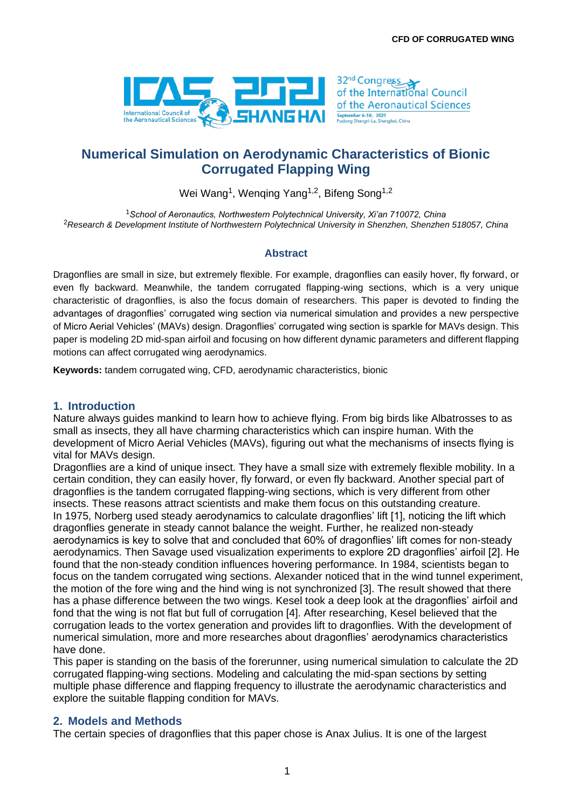

# **Numerical Simulation on Aerodynamic Characteristics of Bionic Corrugated Flapping Wing**

Wei Wang<sup>1</sup>, Wenqing Yang<sup>1,2</sup>, Bifeng Song<sup>1,2</sup>

<sup>1</sup>*School of Aeronautics, Northwestern Polytechnical University, Xi'an 710072, China* <sup>2</sup>*Research & Development Institute of Northwestern Polytechnical University in Shenzhen, Shenzhen 518057, China*

#### **Abstract**

Dragonflies are small in size, but extremely flexible. For example, dragonflies can easily hover, fly forward, or even fly backward. Meanwhile, the tandem corrugated flapping-wing sections, which is a very unique characteristic of dragonflies, is also the focus domain of researchers. This paper is devoted to finding the advantages of dragonflies' corrugated wing section via numerical simulation and provides a new perspective of Micro Aerial Vehicles' (MAVs) design. Dragonflies' corrugated wing section is sparkle for MAVs design. This paper is modeling 2D mid-span airfoil and focusing on how different dynamic parameters and different flapping motions can affect corrugated wing aerodynamics.

**Keywords:** tandem corrugated wing, CFD, aerodynamic characteristics, bionic

## **1. Introduction**

Nature always guides mankind to learn how to achieve flying. From big birds like Albatrosses to as small as insects, they all have charming characteristics which can inspire human. With the development of Micro Aerial Vehicles (MAVs), figuring out what the mechanisms of insects flying is vital for MAVs design.

Dragonflies are a kind of unique insect. They have a small size with extremely flexible mobility. In a certain condition, they can easily hover, fly forward, or even fly backward. Another special part of dragonflies is the tandem corrugated flapping-wing sections, which is very different from other insects. These reasons attract scientists and make them focus on this outstanding creature. In 1975, Norberg used steady aerodynamics to calculate dragonflies' lift [1], noticing the lift which dragonflies generate in steady cannot balance the weight. Further, he realized non-steady aerodynamics is key to solve that and concluded that 60% of dragonflies' lift comes for non-steady aerodynamics. Then Savage used visualization experiments to explore 2D dragonflies' airfoil [2]. He found that the non-steady condition influences hovering performance. In 1984, scientists began to focus on the tandem corrugated wing sections. Alexander noticed that in the wind tunnel experiment, the motion of the fore wing and the hind wing is not synchronized [3]. The result showed that there has a phase difference between the two wings. Kesel took a deep look at the dragonflies' airfoil and fond that the wing is not flat but full of corrugation [4]. After researching, Kesel believed that the corrugation leads to the vortex generation and provides lift to dragonflies. With the development of numerical simulation, more and more researches about dragonflies' aerodynamics characteristics have done.

This paper is standing on the basis of the forerunner, using numerical simulation to calculate the 2D corrugated flapping-wing sections. Modeling and calculating the mid-span sections by setting multiple phase difference and flapping frequency to illustrate the aerodynamic characteristics and explore the suitable flapping condition for MAVs.

## **2. Models and Methods**

The certain species of dragonflies that this paper chose is Anax Julius. It is one of the largest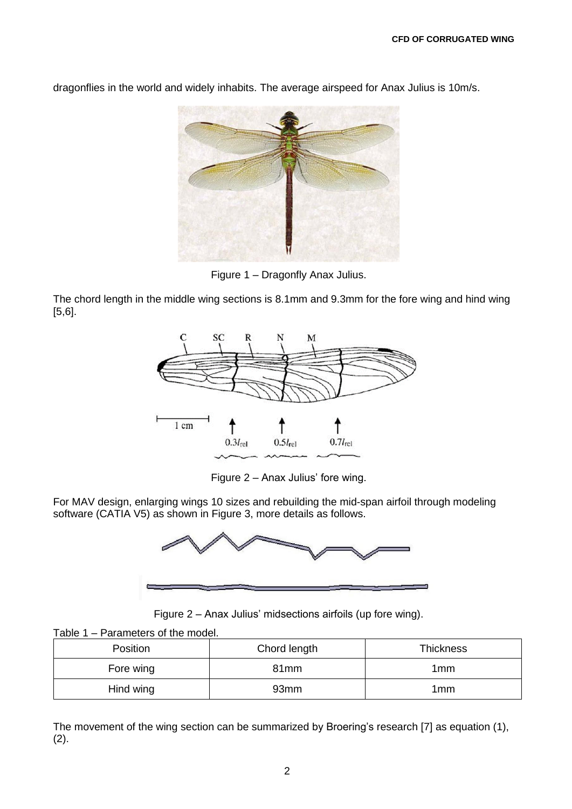dragonflies in the world and widely inhabits. The average airspeed for Anax Julius is 10m/s.

Figure 1 – Dragonfly Anax Julius.

The chord length in the middle wing sections is 8.1mm and 9.3mm for the fore wing and hind wing [5,6].



Figure 2 – Anax Julius' fore wing.

For MAV design, enlarging wings 10 sizes and rebuilding the mid-span airfoil through modeling software (CATIA V5) as shown in Figure 3, more details as follows.



Figure 2 – Anax Julius' midsections airfoils (up fore wing).

| Table 1 – Parameters of the model. |  |
|------------------------------------|--|
|------------------------------------|--|

| Position  | Chord length<br><b>Thickness</b> |     |
|-----------|----------------------------------|-----|
| Fore wing | 81 <sub>mm</sub>                 | 1mm |
| Hind wing | 93 <sub>mm</sub>                 | 1mm |

The movement of the wing section can be summarized by Broering's research [7] as equation (1), (2).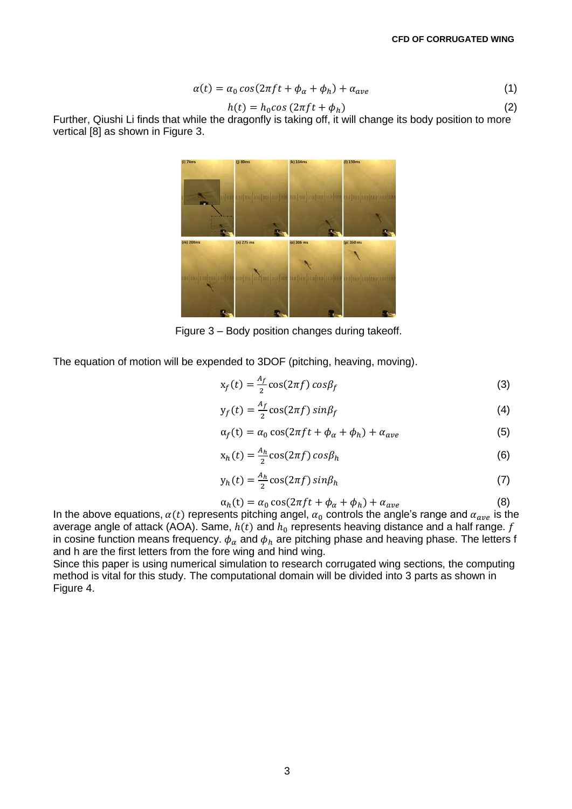$$
\alpha(t) = \alpha_0 \cos(2\pi f t + \phi_\alpha + \phi_h) + \alpha_{ave}
$$
\n(1)

$$
h(t) = h_0 \cos(2\pi f t + \phi_h)
$$
 (2)

Further, Qiushi Li finds that while the dragonfly is taking off, it will change its body position to more vertical [8] as shown in Figure 3.



Figure 3 – Body position changes during takeoff.

The equation of motion will be expended to 3DOF (pitching, heaving, moving).

$$
x_f(t) = \frac{A_f}{2} \cos(2\pi f) \cos\beta_f \tag{3}
$$

$$
y_f(t) = \frac{A_f}{2} \cos(2\pi f) \sin\beta_f \tag{4}
$$

$$
\alpha_f(t) = \alpha_0 \cos(2\pi ft + \phi_\alpha + \phi_h) + \alpha_{ave}
$$
\n(5)

$$
x_h(t) = \frac{A_h}{2} \cos(2\pi f) \cos \beta_h \tag{6}
$$

$$
y_h(t) = \frac{A_h}{2} \cos(2\pi f) \sin\beta_h \tag{7}
$$

$$
\alpha_h(t) = \alpha_0 \cos(2\pi ft + \phi_\alpha + \phi_h) + \alpha_{ave}
$$
 (8)

In the above equations,  $\alpha(t)$  represents pitching angel,  $\alpha_0$  controls the angle's range and  $\alpha_{ave}$  is the average angle of attack (AOA). Same,  $h(t)$  and  $h_0$  represents heaving distance and a half range.  $f$ in cosine function means frequency.  $\phi_\alpha$  and  $\phi_h$  are pitching phase and heaving phase. The letters f and h are the first letters from the fore wing and hind wing.

Since this paper is using numerical simulation to research corrugated wing sections, the computing method is vital for this study. The computational domain will be divided into 3 parts as shown in Figure 4.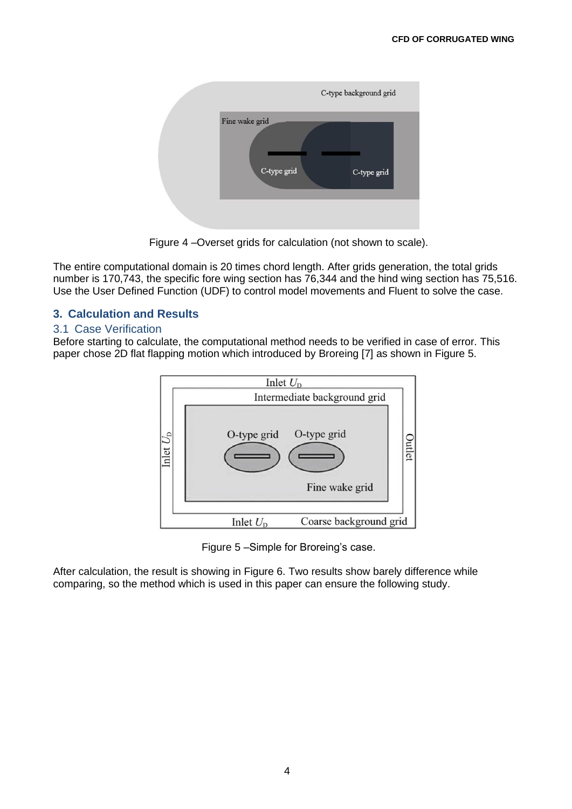

Figure 4 –Overset grids for calculation (not shown to scale).

The entire computational domain is 20 times chord length. After grids generation, the total grids number is 170,743, the specific fore wing section has 76,344 and the hind wing section has 75,516. Use the User Defined Function (UDF) to control model movements and Fluent to solve the case.

## **3. Calculation and Results**

## 3.1 Case Verification

Before starting to calculate, the computational method needs to be verified in case of error. This paper chose 2D flat flapping motion which introduced by Broreing [7] as shown in Figure 5.



Figure 5 –Simple for Broreing's case.

After calculation, the result is showing in Figure 6. Two results show barely difference while comparing, so the method which is used in this paper can ensure the following study.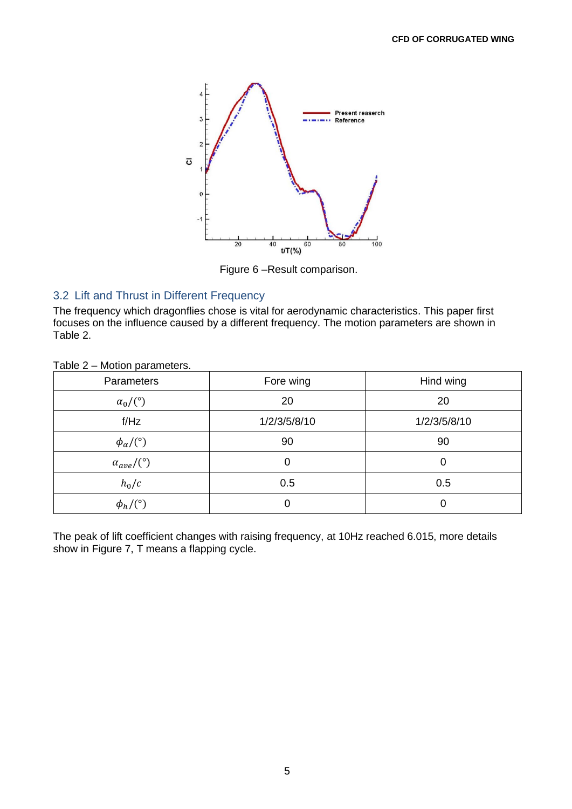

Figure 6 –Result comparison.

## 3.2 Lift and Thrust in Different Frequency

The frequency which dragonflies chose is vital for aerodynamic characteristics. This paper first focuses on the influence caused by a different frequency. The motion parameters are shown in Table 2.

| Parameters              | Fore wing                    | Hind wing |
|-------------------------|------------------------------|-----------|
| $\alpha_0/$ (°)         | 20                           | 20        |
| f/Hz                    | 1/2/3/5/8/10<br>1/2/3/5/8/10 |           |
| $\phi_\alpha$ /(°)      | 90                           | 90        |
| $\alpha_{ave}/(^\circ)$ | 0                            |           |
| $h_0/c$                 | 0.5                          | 0.5       |
| $\phi_h/$ (°)           | 0                            | 0         |

Table 2 – Motion parameters.

The peak of lift coefficient changes with raising frequency, at 10Hz reached 6.015, more details show in Figure 7, T means a flapping cycle.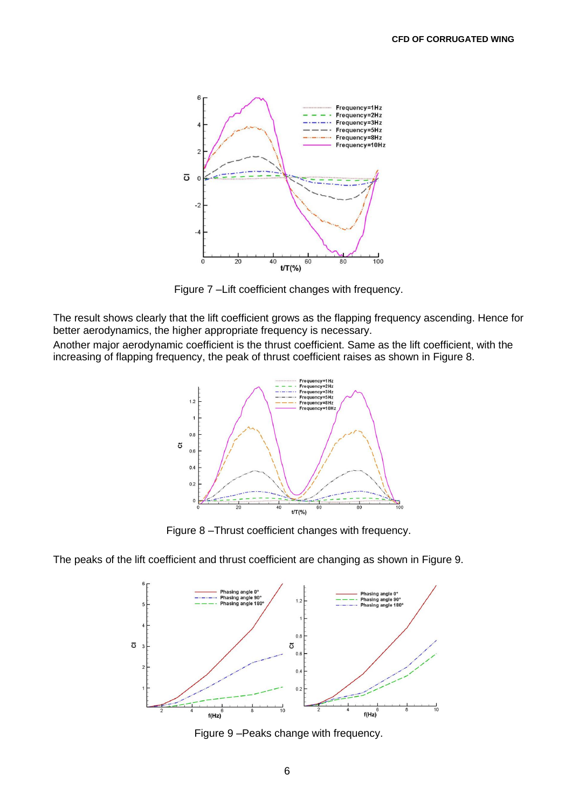

Figure 7 –Lift coefficient changes with frequency.

The result shows clearly that the lift coefficient grows as the flapping frequency ascending. Hence for better aerodynamics, the higher appropriate frequency is necessary.

Another major aerodynamic coefficient is the thrust coefficient. Same as the lift coefficient, with the increasing of flapping frequency, the peak of thrust coefficient raises as shown in Figure 8.



Figure 8 –Thrust coefficient changes with frequency.

The peaks of the lift coefficient and thrust coefficient are changing as shown in Figure 9.



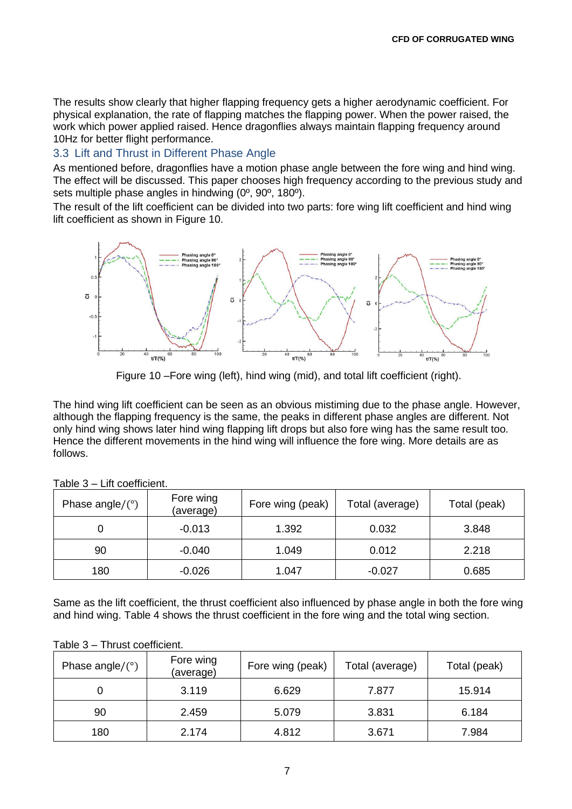The results show clearly that higher flapping frequency gets a higher aerodynamic coefficient. For physical explanation, the rate of flapping matches the flapping power. When the power raised, the work which power applied raised. Hence dragonflies always maintain flapping frequency around 10Hz for better flight performance.

## 3.3 Lift and Thrust in Different Phase Angle

As mentioned before, dragonflies have a motion phase angle between the fore wing and hind wing. The effect will be discussed. This paper chooses high frequency according to the previous study and sets multiple phase angles in hindwing (0º, 90º, 180º).

The result of the lift coefficient can be divided into two parts: fore wing lift coefficient and hind wing lift coefficient as shown in Figure 10.



Figure 10 –Fore wing (left), hind wing (mid), and total lift coefficient (right).

The hind wing lift coefficient can be seen as an obvious mistiming due to the phase angle. However, although the flapping frequency is the same, the peaks in different phase angles are different. Not only hind wing shows later hind wing flapping lift drops but also fore wing has the same result too. Hence the different movements in the hind wing will influence the fore wing. More details are as follows.

| Phase angle/ $(°)$ | Fore wing<br>(average) | Fore wing (peak) | Total (average) | Total (peak) |  |
|--------------------|------------------------|------------------|-----------------|--------------|--|
|                    | $-0.013$               | 1.392            | 0.032           | 3.848        |  |
| 90                 | $-0.040$               | 1.049            | 0.012           | 2.218        |  |
| 180                | $-0.026$               | 1.047            | $-0.027$        | 0.685        |  |

Table 3 – Lift coefficient.

Same as the lift coefficient, the thrust coefficient also influenced by phase angle in both the fore wing and hind wing. Table 4 shows the thrust coefficient in the fore wing and the total wing section.

#### Table 3 – Thrust coefficient.

| Phase angle/ $(°)$ | Fore wing<br>(average) | Fore wing (peak)<br>Total (average) |       | Total (peak) |
|--------------------|------------------------|-------------------------------------|-------|--------------|
|                    | 3.119                  | 6.629                               | 7.877 | 15.914       |
| 90                 | 2.459                  | 5.079                               | 3.831 | 6.184        |
| 180                | 2.174                  | 4.812                               | 3.671 | 7.984        |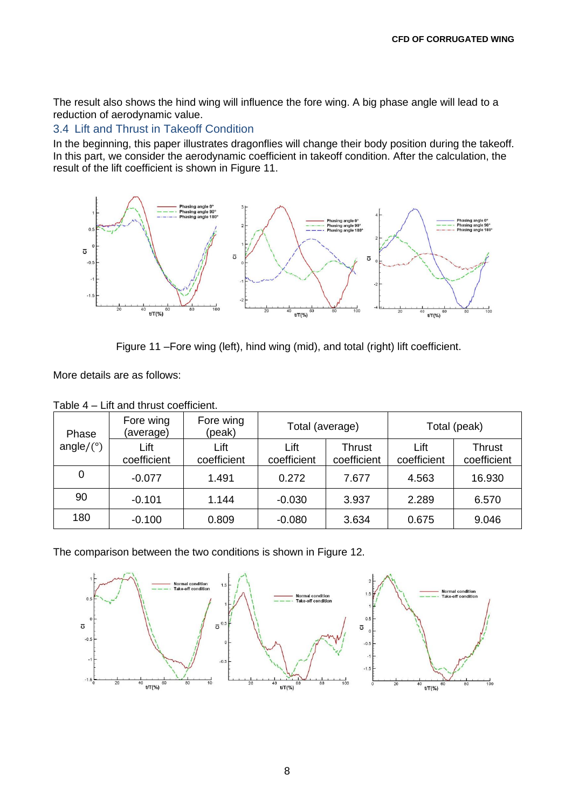The result also shows the hind wing will influence the fore wing. A big phase angle will lead to a reduction of aerodynamic value.

## 3.4 Lift and Thrust in Takeoff Condition

In the beginning, this paper illustrates dragonflies will change their body position during the takeoff. In this part, we consider the aerodynamic coefficient in takeoff condition. After the calculation, the result of the lift coefficient is shown in Figure 11.



Figure 11 –Fore wing (left), hind wing (mid), and total (right) lift coefficient.

More details are as follows:

| Phase        | Fore wing<br>(average) | Fore wing<br>(peak) | Total (average)     |                              | Total (peak)        |                              |
|--------------|------------------------|---------------------|---------------------|------------------------------|---------------------|------------------------------|
| angle/ $(°)$ | Lift<br>coefficient    | Lift<br>coefficient | Lift<br>coefficient | <b>Thrust</b><br>coefficient | Lift<br>coefficient | <b>Thrust</b><br>coefficient |
| $\mathbf 0$  | $-0.077$               | 1.491               | 0.272               | 7.677                        | 4.563               | 16.930                       |
| 90           | $-0.101$               | 1.144               | $-0.030$            | 3.937                        | 2.289               | 6.570                        |
| 180          | $-0.100$               | 0.809               | $-0.080$            | 3.634                        | 0.675               | 9.046                        |

Table 4 – Lift and thrust coefficient.

The comparison between the two conditions is shown in Figure 12.

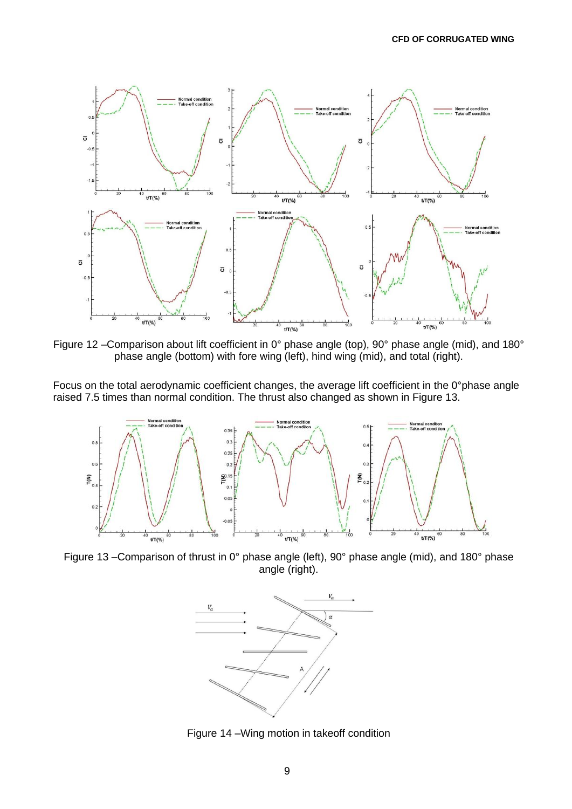

Figure 12 –Comparison about lift coefficient in 0° phase angle (top), 90° phase angle (mid), and 180° phase angle (bottom) with fore wing (left), hind wing (mid), and total (right).

Focus on the total aerodynamic coefficient changes, the average lift coefficient in the 0°phase angle raised 7.5 times than normal condition. The thrust also changed as shown in Figure 13.



Figure 13 –Comparison of thrust in 0° phase angle (left), 90° phase angle (mid), and 180° phase angle (right).



Figure 14 –Wing motion in takeoff condition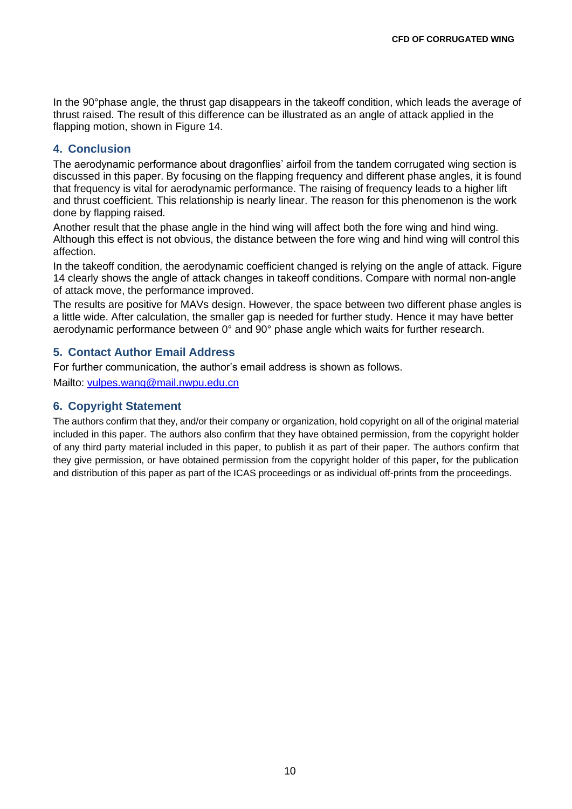In the 90°phase angle, the thrust gap disappears in the takeoff condition, which leads the average of thrust raised. The result of this difference can be illustrated as an angle of attack applied in the flapping motion, shown in Figure 14.

## **4. Conclusion**

The aerodynamic performance about dragonflies' airfoil from the tandem corrugated wing section is discussed in this paper. By focusing on the flapping frequency and different phase angles, it is found that frequency is vital for aerodynamic performance. The raising of frequency leads to a higher lift and thrust coefficient. This relationship is nearly linear. The reason for this phenomenon is the work done by flapping raised.

Another result that the phase angle in the hind wing will affect both the fore wing and hind wing. Although this effect is not obvious, the distance between the fore wing and hind wing will control this affection.

In the takeoff condition, the aerodynamic coefficient changed is relying on the angle of attack. Figure 14 clearly shows the angle of attack changes in takeoff conditions. Compare with normal non-angle of attack move, the performance improved.

The results are positive for MAVs design. However, the space between two different phase angles is a little wide. After calculation, the smaller gap is needed for further study. Hence it may have better aerodynamic performance between 0° and 90° phase angle which waits for further research.

## **5. Contact Author Email Address**

For further communication, the author's email address is shown as follows.

Mailto: [vulpes.wang@mail.nwpu.edu.cn](mailto:vulpes.wang@mail.nwpu.edu.cn)

## **6. Copyright Statement**

The authors confirm that they, and/or their company or organization, hold copyright on all of the original material included in this paper. The authors also confirm that they have obtained permission, from the copyright holder of any third party material included in this paper, to publish it as part of their paper. The authors confirm that they give permission, or have obtained permission from the copyright holder of this paper, for the publication and distribution of this paper as part of the ICAS proceedings or as individual off-prints from the proceedings.